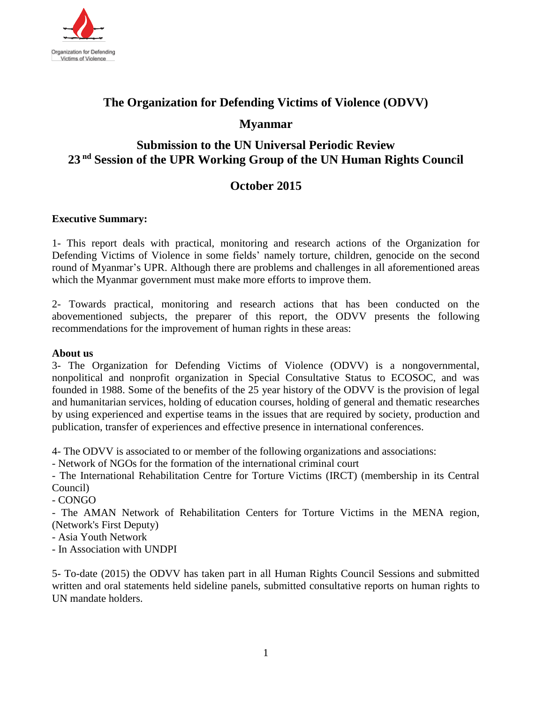

# **The Organization for Defending Victims of Violence (ODVV)**

## **Myanmar**

# **Submission to the UN Universal Periodic Review 23 nd Session of the UPR Working Group of the UN Human Rights Council**

# **October 2015**

#### **Executive Summary:**

1- This report deals with practical, monitoring and research actions of the Organization for Defending Victims of Violence in some fields' namely torture, children, genocide on the second round of Myanmar's UPR. Although there are problems and challenges in all aforementioned areas which the Myanmar government must make more efforts to improve them.

2- Towards practical, monitoring and research actions that has been conducted on the abovementioned subjects, the preparer of this report, the ODVV presents the following recommendations for the improvement of human rights in these areas:

#### **About us**

3- The Organization for Defending Victims of Violence (ODVV) is a nongovernmental, nonpolitical and nonprofit organization in Special Consultative Status to ECOSOC, and was founded in 1988. Some of the benefits of the 25 year history of the ODVV is the provision of legal and humanitarian services, holding of education courses, holding of general and thematic researches by using experienced and expertise teams in the issues that are required by society, production and publication, transfer of experiences and effective presence in international conferences.

4- The ODVV is associated to or member of the following organizations and associations:

- Network of NGOs for the formation of the international criminal court

- The International Rehabilitation Centre for Torture Victims (IRCT) (membership in its Central Council)

- CONGO

- The AMAN Network of Rehabilitation Centers for Torture Victims in the MENA region, (Network's First Deputy)

- Asia Youth Network

- In Association with UNDPI

5- To-date (2015) the ODVV has taken part in all Human Rights Council Sessions and submitted written and oral statements held sideline panels, submitted consultative reports on human rights to UN mandate holders.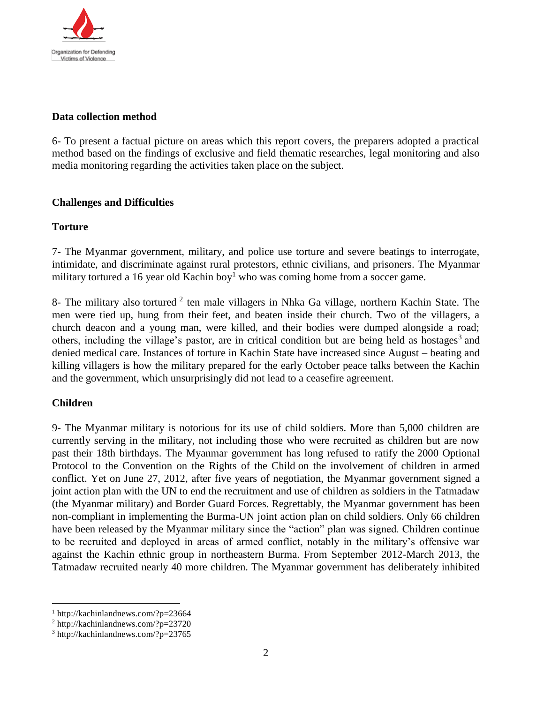

#### **Data collection method**

6- To present a factual picture on areas which this report covers, the preparers adopted a practical method based on the findings of exclusive and field thematic researches, legal monitoring and also media monitoring regarding the activities taken place on the subject.

## **Challenges and Difficulties**

## **Torture**

7- The Myanmar government, military, and police use torture and severe beatings to interrogate, intimidate, and discriminate against rural protestors, ethnic civilians, and prisoners. The Myanmar military tortured a 16 year [old Kachin boy](http://kachinlandnews.com/?p=23664)<sup>1</sup> who was coming home from a soccer game.

8- The military also [tortured](http://kachinlandnews.com/?p=23720)  $2$  ten male villagers in Nhka Ga village, northern Kachin State. The men were tied up, hung from their feet, and beaten inside their church. Two of the villagers, a church deacon and a young man, were killed, and their bodies were dumped alongside a road; others, including the village's pastor, are in critical condition but are [being held as hostages](http://kachinlandnews.com/?p=23765)<sup>3</sup> and denied medical care. Instances of torture in Kachin State have increased since August – beating and killing villagers is how the military prepared for the early October peace talks between the Kachin and the government, which unsurprisingly did not lead to a ceasefire agreement.

## **Children**

 $\overline{a}$ 

9- The Myanmar military is notorious for its use of child soldiers. More than 5,000 children are currently serving in the military, not including those who were recruited as children but are now past their 18th birthdays. The Myanmar government has long refused to ratify the [2000 Optional](http://www.unicef.org/crc/index_protocols.html)  [Protocol to the Convention on the Rights of the Child](http://www.unicef.org/crc/index_protocols.html) on the involvement of children in armed conflict. Yet on June 27, 2012, after five years of negotiation, the Myanmar government signed a joint action plan with the UN to end the recruitment and use of children as soldiers in the Tatmadaw (the Myanmar military) and Border Guard Forces. Regrettably, the Myanmar government has been non-compliant in implementing the [Burma-UN joint action plan](http://www.un.org/News/briefings/docs/2012/120705_Guest.doc.htm) on child soldiers. Only 66 children have been released by the Myanmar military since the "action" plan was signed. Children continue to be recruited and deployed in areas of armed conflict, notably in the military's offensive war against the Kachin ethnic group in northeastern Burma. From September 2012-March 2013, the Tatmadaw recruited nearly 40 more children. The Myanmar government has deliberately inhibited

<sup>1</sup> http://kachinlandnews.com/?p=23664

<sup>2</sup> http://kachinlandnews.com/?p=23720

<sup>3</sup> http://kachinlandnews.com/?p=23765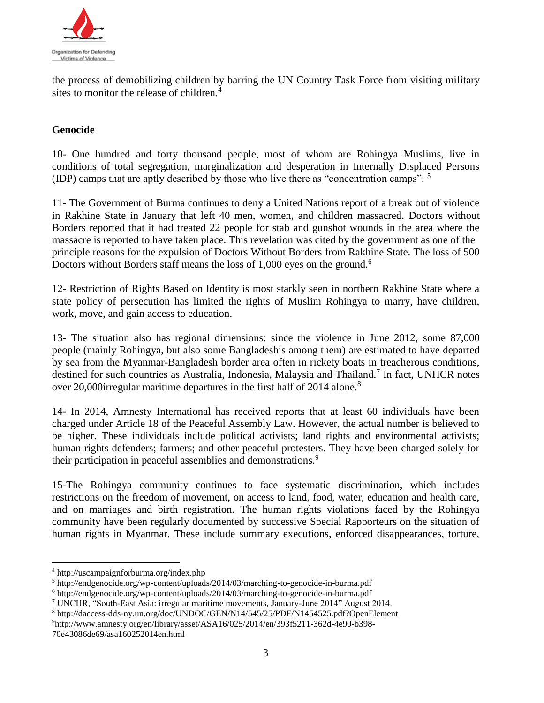

the process of demobilizing children by barring the UN Country Task Force from visiting military sites to monitor the release of children.<sup>4</sup>

## **Genocide**

10- One hundred and forty thousand people, most of whom are Rohingya Muslims, live in conditions of total segregation, marginalization and desperation in Internally Displaced Persons (IDP) camps that are aptly described by those who live there as "concentration camps". <sup>5</sup>

11- The Government of Burma continues to deny a United Nations report of a break out of violence in Rakhine State in January that left 40 men, women, and children massacred. Doctors without Borders reported that it had treated 22 people for stab and gunshot wounds in the area where the massacre is reported to have taken place. This revelation was cited by the government as one of the principle reasons for the expulsion of Doctors Without Borders from Rakhine State. The loss of 500 Doctors without Borders staff means the loss of 1,000 eyes on the ground.<sup>6</sup>

12- Restriction of Rights Based on Identity is most starkly seen in northern Rakhine State where a state policy of persecution has limited the rights of Muslim Rohingya to marry, have children, work, move, and gain access to education.

13- The situation also has regional dimensions: since the violence in June 2012, some 87,000 people (mainly Rohingya, but also some Bangladeshis among them) are estimated to have departed by sea from the Myanmar-Bangladesh border area often in rickety boats in treacherous conditions, destined for such countries as Australia, Indonesia, Malaysia and Thailand.<sup>7</sup> In fact, UNHCR notes over 20,000 irregular maritime departures in the first half of 2014 alone.<sup>8</sup>

14- In 2014, Amnesty International has received reports that at least 60 individuals have been charged under Article 18 of the Peaceful Assembly Law. However, the actual number is believed to be higher. These individuals include political activists; land rights and environmental activists; human rights defenders; farmers; and other peaceful protesters. They have been charged solely for their participation in peaceful assemblies and demonstrations.<sup>9</sup>

15-The Rohingya community continues to face systematic discrimination, which includes restrictions on the freedom of movement, on access to land, food, water, education and health care, and on marriages and birth registration. The human rights violations faced by the Rohingya community have been regularly documented by successive Special Rapporteurs on the situation of human rights in Myanmar. These include summary executions, enforced disappearances, torture,

 $\overline{a}$ 

<sup>4</sup> http://uscampaignforburma.org/index.php

<sup>5</sup> http://endgenocide.org/wp-content/uploads/2014/03/marching-to-genocide-in-burma.pdf

<sup>6</sup> http://endgenocide.org/wp-content/uploads/2014/03/marching-to-genocide-in-burma.pdf

<sup>7</sup> UNCHR, "South-East Asia: irregular maritime movements, January-June 2014" August 2014.

<sup>8</sup> http://daccess-dds-ny.un.org/doc/UNDOC/GEN/N14/545/25/PDF/N1454525.pdf?OpenElement

<sup>9</sup>http://www.amnesty.org/en/library/asset/ASA16/025/2014/en/393f5211-362d-4e90-b398- 70e43086de69/asa160252014en.html